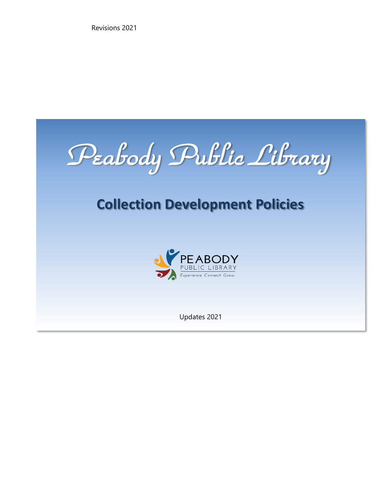Revisions 2021



### **Collection Development Policies**



Updates 2021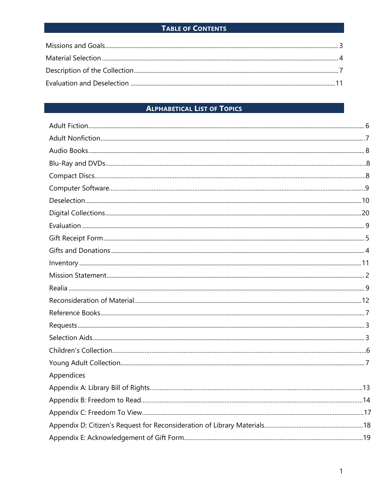#### TABLE OF CONTENTS

#### **ALPHABETICAL LIST OF TOPICS**

| Appendices |  |
|------------|--|
|            |  |
|            |  |
|            |  |
|            |  |
|            |  |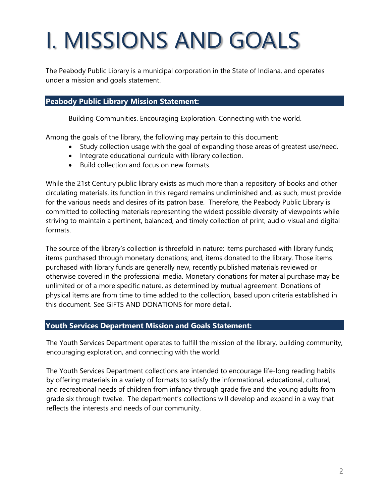## I. MISSIONS AND GOALS

The Peabody Public Library is a municipal corporation in the State of Indiana, and operates under a mission and goals statement.

#### **Peabody Public Library Mission Statement:**

Building Communities. Encouraging Exploration. Connecting with the world.

Among the goals of the library, the following may pertain to this document:

- Study collection usage with the goal of expanding those areas of greatest use/need.
- Integrate educational curricula with library collection.
- Build collection and focus on new formats.

While the 21st Century public library exists as much more than a repository of books and other circulating materials, its function in this regard remains undiminished and, as such, must provide for the various needs and desires of its patron base. Therefore, the Peabody Public Library is committed to collecting materials representing the widest possible diversity of viewpoints while striving to maintain a pertinent, balanced, and timely collection of print, audio-visual and digital formats.

The source of the library's collection is threefold in nature: items purchased with library funds; items purchased through monetary donations; and, items donated to the library. Those items purchased with library funds are generally new, recently published materials reviewed or otherwise covered in the professional media. Monetary donations for material purchase may be unlimited or of a more specific nature, as determined by mutual agreement. Donations of physical items are from time to time added to the collection, based upon criteria established in this document. See GIFTS AND DONATIONS for more detail.

#### **Youth Services Department Mission and Goals Statement:**

The Youth Services Department operates to fulfill the mission of the library, building community, encouraging exploration, and connecting with the world.

The Youth Services Department collections are intended to encourage life-long reading habits by offering materials in a variety of formats to satisfy the informational, educational, cultural, and recreational needs of children from infancy through grade five and the young adults from grade six through twelve. The department's collections will develop and expand in a way that reflects the interests and needs of our community.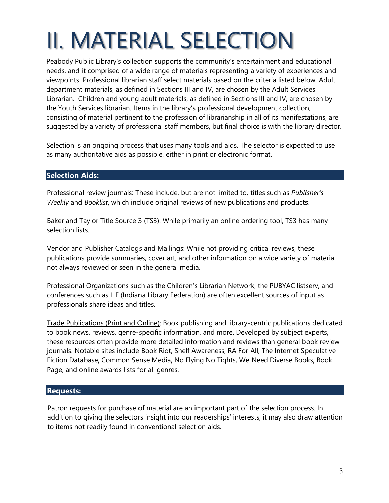## II. MATERIAL SELECTION

Peabody Public Library's collection supports the community's entertainment and educational needs, and it comprised of a wide range of materials representing a variety of experiences and viewpoints. Professional librarian staff select materials based on the criteria listed below. Adult department materials, as defined in Sections III and IV, are chosen by the Adult Services Librarian. Children and young adult materials, as defined in Sections III and IV, are chosen by the Youth Services librarian. Items in the library's professional development collection, consisting of material pertinent to the profession of librarianship in all of its manifestations, are suggested by a variety of professional staff members, but final choice is with the library director.

Selection is an ongoing process that uses many tools and aids. The selector is expected to use as many authoritative aids as possible, either in print or electronic format.

#### **Selection Aids:**

Professional review journals: These include, but are not limited to, titles such as *Publisher's Weekly* and *Booklist*, which include original reviews of new publications and products.

Baker and Taylor Title Source 3 (TS3): While primarily an online ordering tool, TS3 has many selection lists.

Vendor and Publisher Catalogs and Mailings: While not providing critical reviews, these publications provide summaries, cover art, and other information on a wide variety of material not always reviewed or seen in the general media.

Professional Organizations such as the Children's Librarian Network, the PUBYAC listserv, and conferences such as ILF (Indiana Library Federation) are often excellent sources of input as professionals share ideas and titles.

Trade Publications (Print and Online): Book publishing and library-centric publications dedicated to book news, reviews, genre-specific information, and more. Developed by subject experts, these resources often provide more detailed information and reviews than general book review journals. Notable sites include Book Riot, Shelf Awareness, RA For All, The Internet Speculative Fiction Database, Common Sense Media, No Flying No Tights, We Need Diverse Books, Book Page, and online awards lists for all genres.

#### **Requests:**

Patron requests for purchase of material are an important part of the selection process. In addition to giving the selectors insight into our readerships' interests, it may also draw attention to items not readily found in conventional selection aids.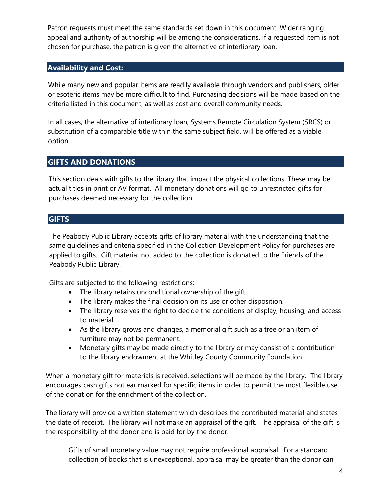Patron requests must meet the same standards set down in this document. Wider ranging appeal and authority of authorship will be among the considerations. If a requested item is not chosen for purchase, the patron is given the alternative of interlibrary loan.

#### **Availability and Cost:**

While many new and popular items are readily available through vendors and publishers, older or esoteric items may be more difficult to find. Purchasing decisions will be made based on the criteria listed in this document, as well as cost and overall community needs.

In all cases, the alternative of interlibrary loan, Systems Remote Circulation System (SRCS) or substitution of a comparable title within the same subject field, will be offered as a viable option.

#### **GIFTS AND DONATIONS**

This section deals with gifts to the library that impact the physical collections. These may be actual titles in print or AV format. All monetary donations will go to unrestricted gifts for purchases deemed necessary for the collection.

#### **GIFTS**

The Peabody Public Library accepts gifts of library material with the understanding that the same guidelines and criteria specified in the Collection Development Policy for purchases are applied to gifts. Gift material not added to the collection is donated to the Friends of the Peabody Public Library.

Gifts are subjected to the following restrictions:

- The library retains unconditional ownership of the gift.
- The library makes the final decision on its use or other disposition.
- The library reserves the right to decide the conditions of display, housing, and access to material.
- As the library grows and changes, a memorial gift such as a tree or an item of furniture may not be permanent.
- Monetary gifts may be made directly to the library or may consist of a contribution to the library endowment at the Whitley County Community Foundation.

When a monetary gift for materials is received, selections will be made by the library. The library encourages cash gifts not ear marked for specific items in order to permit the most flexible use of the donation for the enrichment of the collection.

The library will provide a written statement which describes the contributed material and states the date of receipt. The library will not make an appraisal of the gift. The appraisal of the gift is the responsibility of the donor and is paid for by the donor.

Gifts of small monetary value may not require professional appraisal. For a standard collection of books that is unexceptional, appraisal may be greater than the donor can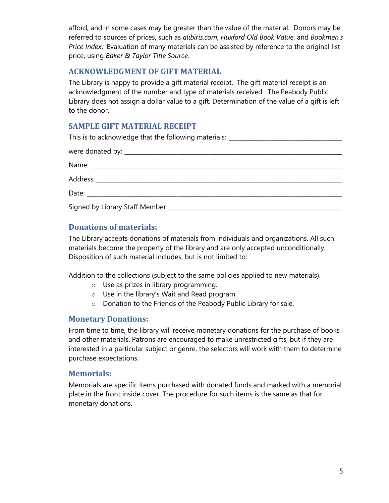afford, and in some cases may be greater than the value of the material. Donors may be referred to sources of prices, such as *alibiris.com*, *Huxford Old Book Value*, and *Bookmen's Price Index*. Evaluation of many materials can be assisted by reference to the original list price, using *Baker & Taylor Title Source.* 

#### **ACKNOWLEDGMENT OF GIFT MATERIAL**

The Library is happy to provide a gift material receipt. The gift material receipt is an acknowledgment of the number and type of materials received. The Peabody Public Library does not assign a dollar value to a gift. Determination of the value of a gift is left to the donor.

#### **SAMPLE GIFT MATERIAL RECEIPT**

| This is to acknowledge that the following materials: ____________________________ |
|-----------------------------------------------------------------------------------|
|                                                                                   |
|                                                                                   |
|                                                                                   |
|                                                                                   |
|                                                                                   |

#### **Donations of materials:**

The Library accepts donations of materials from individuals and organizations. All such materials become the property of the library and are only accepted unconditionally. Disposition of such material includes, but is not limited to:

Addition to the collections (subject to the same policies applied to new materials).

- o Use as prizes in library programming.
- o Use in the library's Wait and Read program.
- o Donation to the Friends of the Peabody Public Library for sale.

#### **Monetary Donations:**

From time to time, the library will receive monetary donations for the purchase of books and other materials. Patrons are encouraged to make unrestricted gifts, but if they are interested in a particular subject or genre, the selectors will work with them to determine purchase expectations.

#### **Memorials:**

Memorials are specific items purchased with donated funds and marked with a memorial plate in the front inside cover. The procedure for such items is the same as that for monetary donations.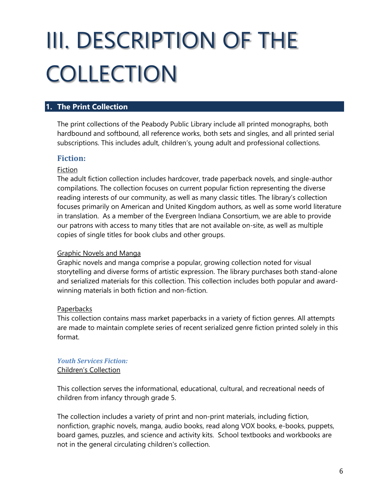# III. DESCRIPTION OF THE **COLLECTION**

#### **1. The Print Collection**

The print collections of the Peabody Public Library include all printed monographs, both hardbound and softbound, all reference works, both sets and singles, and all printed serial subscriptions. This includes adult, children's, young adult and professional collections.

#### **Fiction:**

#### Fiction

The adult fiction collection includes hardcover, trade paperback novels, and single-author compilations. The collection focuses on current popular fiction representing the diverse reading interests of our community, as well as many classic titles. The library's collection focuses primarily on American and United Kingdom authors, as well as some world literature in translation. As a member of the Evergreen Indiana Consortium, we are able to provide our patrons with access to many titles that are not available on-site, as well as multiple copies of single titles for book clubs and other groups.

#### Graphic Novels and Manga

Graphic novels and manga comprise a popular, growing collection noted for visual storytelling and diverse forms of artistic expression. The library purchases both stand-alone and serialized materials for this collection. This collection includes both popular and awardwinning materials in both fiction and non-fiction.

#### Paperbacks

This collection contains mass market paperbacks in a variety of fiction genres. All attempts are made to maintain complete series of recent serialized genre fiction printed solely in this format.

#### *Youth Services Fiction:* Children's Collection

This collection serves the informational, educational, cultural, and recreational needs of children from infancy through grade 5.

The collection includes a variety of print and non-print materials, including fiction, nonfiction, graphic novels, manga, audio books, read along VOX books, e-books, puppets, board games, puzzles, and science and activity kits. School textbooks and workbooks are not in the general circulating children's collection.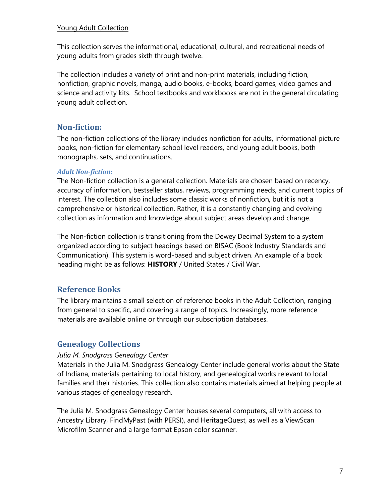#### Young Adult Collection

This collection serves the informational, educational, cultural, and recreational needs of young adults from grades sixth through twelve.

The collection includes a variety of print and non-print materials, including fiction, nonfiction, graphic novels, manga, audio books, e-books, board games, video games and science and activity kits. School textbooks and workbooks are not in the general circulating young adult collection.

#### **Non-fiction:**

The non-fiction collections of the library includes nonfiction for adults, informational picture books, non-fiction for elementary school level readers, and young adult books, both monographs, sets, and continuations.

#### *Adult Non-fiction:*

The Non-fiction collection is a general collection. Materials are chosen based on recency, accuracy of information, bestseller status, reviews, programming needs, and current topics of interest. The collection also includes some classic works of nonfiction, but it is not a comprehensive or historical collection. Rather, it is a constantly changing and evolving collection as information and knowledge about subject areas develop and change.

The Non-fiction collection is transitioning from the Dewey Decimal System to a system organized according to subject headings based on BISAC (Book Industry Standards and Communication). This system is word-based and subject driven. An example of a book heading might be as follows: **HISTORY** / United States / Civil War.

#### **Reference Books**

The library maintains a small selection of reference books in the Adult Collection, ranging from general to specific, and covering a range of topics. Increasingly, more reference materials are available online or through our subscription databases.

#### **Genealogy Collections**

#### *Julia M. Snodgrass Genealogy Center*

Materials in the Julia M. Snodgrass Genealogy Center include general works about the State of Indiana, materials pertaining to local history, and genealogical works relevant to local families and their histories. This collection also contains materials aimed at helping people at various stages of genealogy research.

The Julia M. Snodgrass Genealogy Center houses several computers, all with access to Ancestry Library, FindMyPast (with PERSI), and HeritageQuest, as well as a ViewScan Microfilm Scanner and a large format Epson color scanner.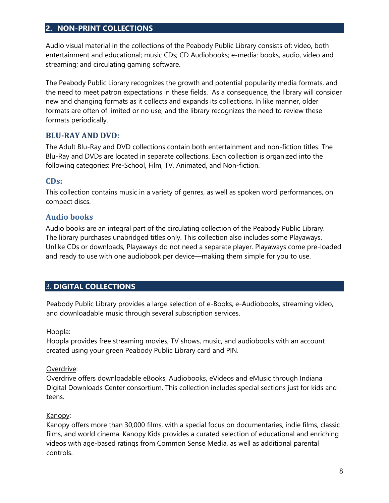#### **2. NON-PRINT COLLECTIONS**

Audio visual material in the collections of the Peabody Public Library consists of: video, both entertainment and educational; music CDs; CD Audiobooks; e-media: books, audio, video and streaming; and circulating gaming software.

The Peabody Public Library recognizes the growth and potential popularity media formats, and the need to meet patron expectations in these fields. As a consequence, the library will consider new and changing formats as it collects and expands its collections. In like manner, older formats are often of limited or no use, and the library recognizes the need to review these formats periodically.

#### **BLU-RAY AND DVD:**

The Adult Blu-Ray and DVD collections contain both entertainment and non-fiction titles. The Blu-Ray and DVDs are located in separate collections. Each collection is organized into the following categories: Pre-School, Film, TV, Animated, and Non-fiction.

#### **CDs:**

This collection contains music in a variety of genres, as well as spoken word performances, on compact discs.

#### **Audio books**

Audio books are an integral part of the circulating collection of the Peabody Public Library. The library purchases unabridged titles only. This collection also includes some Playaways. Unlike CDs or downloads, Playaways do not need a separate player. Playaways come pre-loaded and ready to use with one audiobook per device—making them simple for you to use.

#### 3. **DIGITAL COLLECTIONS**

Peabody Public Library provides a large selection of e-Books, e-Audiobooks, streaming video, and downloadable music through several subscription services.

#### Hoopla:

Hoopla provides free streaming movies, TV shows, music, and audiobooks with an account created using your green Peabody Public Library card and PIN.

#### Overdrive:

Overdrive offers downloadable eBooks, Audiobooks, eVideos and eMusic through Indiana Digital Downloads Center consortium. This collection includes special sections just for kids and teens.

#### Kanopy:

Kanopy offers more than 30,000 films, with a special focus on documentaries, indie films, classic films, and world cinema. Kanopy Kids provides a curated selection of educational and enriching videos with age-based ratings from Common Sense Media, as well as additional parental controls.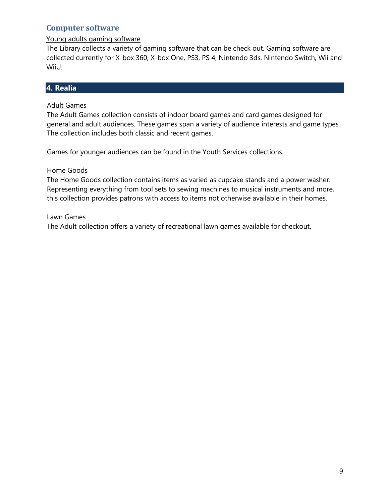#### **Computer software**

#### Young adults gaming software

The Library collects a variety of gaming software that can be check out. Gaming software are collected currently for X-box 360, X-box One, PS3, PS 4, Nintendo 3ds, Nintendo Switch, Wii and WiiU.

#### **4. Realia**

#### Adult Games

The Adult Games collection consists of indoor board games and card games designed for general and adult audiences. These games span a variety of audience interests and game types The collection includes both classic and recent games.

Games for younger audiences can be found in the Youth Services collections.

#### Home Goods

The Home Goods collection contains items as varied as cupcake stands and a power washer. Representing everything from tool sets to sewing machines to musical instruments and more, this collection provides patrons with access to items not otherwise available in their homes.

#### Lawn Games

The Adult collection offers a variety of recreational lawn games available for checkout.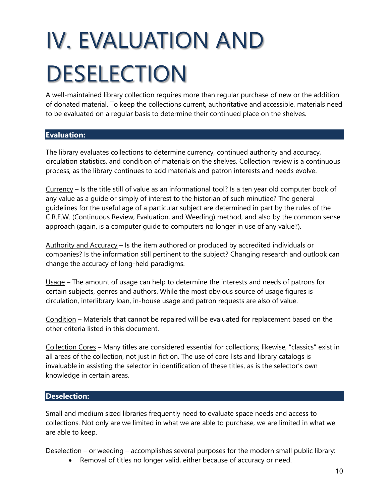# IV. EVALUATION AND DESELECTION

A well-maintained library collection requires more than regular purchase of new or the addition of donated material. To keep the collections current, authoritative and accessible, materials need to be evaluated on a regular basis to determine their continued place on the shelves.

#### **Evaluation:**

The library evaluates collections to determine currency, continued authority and accuracy, circulation statistics, and condition of materials on the shelves. Collection review is a continuous process, as the library continues to add materials and patron interests and needs evolve.

Currency – Is the title still of value as an informational tool? Is a ten year old computer book of any value as a guide or simply of interest to the historian of such minutiae? The general guidelines for the useful age of a particular subject are determined in part by the rules of the C.R.E.W. (Continuous Review, Evaluation, and Weeding) method, and also by the common sense approach (again, is a computer guide to computers no longer in use of any value?).

Authority and Accuracy – Is the item authored or produced by accredited individuals or companies? Is the information still pertinent to the subject? Changing research and outlook can change the accuracy of long-held paradigms.

Usage – The amount of usage can help to determine the interests and needs of patrons for certain subjects, genres and authors. While the most obvious source of usage figures is circulation, interlibrary loan, in-house usage and patron requests are also of value.

Condition – Materials that cannot be repaired will be evaluated for replacement based on the other criteria listed in this document.

Collection Cores – Many titles are considered essential for collections; likewise, "classics" exist in all areas of the collection, not just in fiction. The use of core lists and library catalogs is invaluable in assisting the selector in identification of these titles, as is the selector's own knowledge in certain areas.

#### **Deselection:**

Small and medium sized libraries frequently need to evaluate space needs and access to collections. Not only are we limited in what we are able to purchase, we are limited in what we are able to keep.

Deselection – or weeding – accomplishes several purposes for the modern small public library:

• Removal of titles no longer valid, either because of accuracy or need.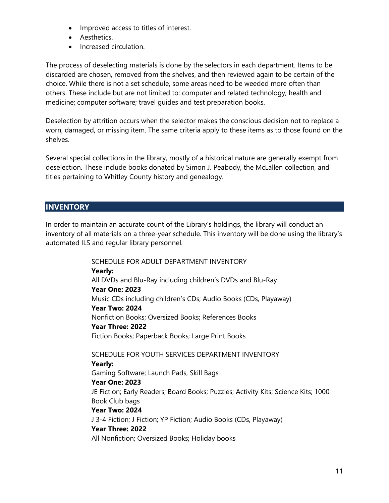- Improved access to titles of interest.
- Aesthetics.
- Increased circulation.

The process of deselecting materials is done by the selectors in each department. Items to be discarded are chosen, removed from the shelves, and then reviewed again to be certain of the choice. While there is not a set schedule, some areas need to be weeded more often than others. These include but are not limited to: computer and related technology; health and medicine; computer software; travel guides and test preparation books.

Deselection by attrition occurs when the selector makes the conscious decision not to replace a worn, damaged, or missing item. The same criteria apply to these items as to those found on the shelves.

Several special collections in the library, mostly of a historical nature are generally exempt from deselection. These include books donated by Simon J. Peabody, the McLallen collection, and titles pertaining to Whitley County history and genealogy.

#### **INVENTORY**

In order to maintain an accurate count of the Library's holdings, the library will conduct an inventory of all materials on a three-year schedule. This inventory will be done using the library's automated ILS and regular library personnel.

> SCHEDULE FOR ADULT DEPARTMENT INVENTORY **Yearly:** All DVDs and Blu-Ray including children's DVDs and Blu-Ray **Year One: 2023** Music CDs including children's CDs; Audio Books (CDs, Playaway) **Year Two: 2024** Nonfiction Books; Oversized Books; References Books **Year Three: 2022** Fiction Books; Paperback Books; Large Print Books

SCHEDULE FOR YOUTH SERVICES DEPARTMENT INVENTORY

#### **Yearly:**

Gaming Software; Launch Pads, Skill Bags

#### **Year One: 2023**

JE Fiction; Early Readers; Board Books; Puzzles; Activity Kits; Science Kits; 1000 Book Club bags

### **Year Two: 2024**

J 3-4 Fiction; J Fiction; YP Fiction; Audio Books (CDs, Playaway)

#### **Year Three: 2022**

All Nonfiction; Oversized Books; Holiday books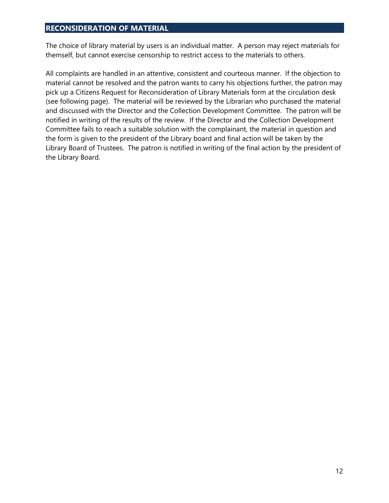#### **RECONSIDERATION OF MATERIAL**

The choice of library material by users is an individual matter. A person may reject materials for themself, but cannot exercise censorship to restrict access to the materials to others.

All complaints are handled in an attentive, consistent and courteous manner. If the objection to material cannot be resolved and the patron wants to carry his objections further, the patron may pick up a Citizens Request for Reconsideration of Library Materials form at the circulation desk (see following page). The material will be reviewed by the Librarian who purchased the material and discussed with the Director and the Collection Development Committee. The patron will be notified in writing of the results of the review. If the Director and the Collection Development Committee fails to reach a suitable solution with the complainant, the material in question and the form is given to the president of the Library board and final action will be taken by the Library Board of Trustees. The patron is notified in writing of the final action by the president of the Library Board.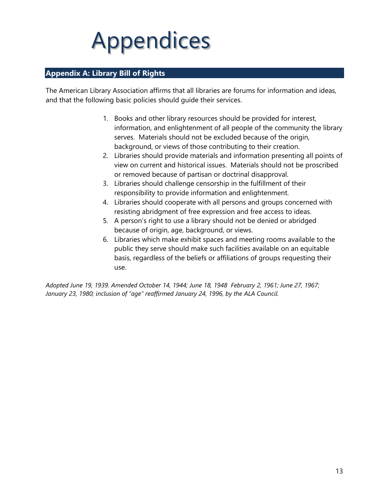### Appendices

#### **Appendix A: Library Bill of Rights**

The American Library Association affirms that all libraries are forums for information and ideas, and that the following basic policies should guide their services.

- 1. Books and other library resources should be provided for interest, information, and enlightenment of all people of the community the library serves. Materials should not be excluded because of the origin, background, or views of those contributing to their creation.
- 2. Libraries should provide materials and information presenting all points of view on current and historical issues. Materials should not be proscribed or removed because of partisan or doctrinal disapproval.
- 3. Libraries should challenge censorship in the fulfillment of their responsibility to provide information and enlightenment.
- 4. Libraries should cooperate with all persons and groups concerned with resisting abridgment of free expression and free access to ideas.
- 5. A person's right to use a library should not be denied or abridged because of origin, age, background, or views.
- 6. Libraries which make exhibit spaces and meeting rooms available to the public they serve should make such facilities available on an equitable basis, regardless of the beliefs or affiliations of groups requesting their use.

*Adopted June 19, 1939. Amended October 14, 1944; June 18, 1948 February 2, 1961; June 27, 1967; January 23, 1980; inclusion of "age" reaffirmed January 24, 1996, by the ALA Council.*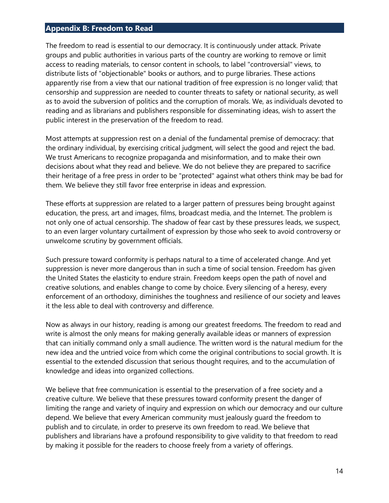#### **Appendix B: Freedom to Read**

The freedom to read is essential to our democracy. It is continuously under attack. Private groups and public authorities in various parts of the country are working to remove or limit access to reading materials, to censor content in schools, to label "controversial" views, to distribute lists of "objectionable" books or authors, and to purge libraries. These actions apparently rise from a view that our national tradition of free expression is no longer valid; that censorship and suppression are needed to counter threats to safety or national security, as well as to avoid the subversion of politics and the corruption of morals. We, as individuals devoted to reading and as librarians and publishers responsible for disseminating ideas, wish to assert the public interest in the preservation of the freedom to read.

Most attempts at suppression rest on a denial of the fundamental premise of democracy: that the ordinary individual, by exercising critical judgment, will select the good and reject the bad. We trust Americans to recognize propaganda and misinformation, and to make their own decisions about what they read and believe. We do not believe they are prepared to sacrifice their heritage of a free press in order to be "protected" against what others think may be bad for them. We believe they still favor free enterprise in ideas and expression.

These efforts at suppression are related to a larger pattern of pressures being brought against education, the press, art and images, films, broadcast media, and the Internet. The problem is not only one of actual censorship. The shadow of fear cast by these pressures leads, we suspect, to an even larger voluntary curtailment of expression by those who seek to avoid controversy or unwelcome scrutiny by government officials.

Such pressure toward conformity is perhaps natural to a time of accelerated change. And yet suppression is never more dangerous than in such a time of social tension. Freedom has given the United States the elasticity to endure strain. Freedom keeps open the path of novel and creative solutions, and enables change to come by choice. Every silencing of a heresy, every enforcement of an orthodoxy, diminishes the toughness and resilience of our society and leaves it the less able to deal with controversy and difference.

Now as always in our history, reading is among our greatest freedoms. The freedom to read and write is almost the only means for making generally available ideas or manners of expression that can initially command only a small audience. The written word is the natural medium for the new idea and the untried voice from which come the original contributions to social growth. It is essential to the extended discussion that serious thought requires, and to the accumulation of knowledge and ideas into organized collections.

We believe that free communication is essential to the preservation of a free society and a creative culture. We believe that these pressures toward conformity present the danger of limiting the range and variety of inquiry and expression on which our democracy and our culture depend. We believe that every American community must jealously guard the freedom to publish and to circulate, in order to preserve its own freedom to read. We believe that publishers and librarians have a profound responsibility to give validity to that freedom to read by making it possible for the readers to choose freely from a variety of offerings.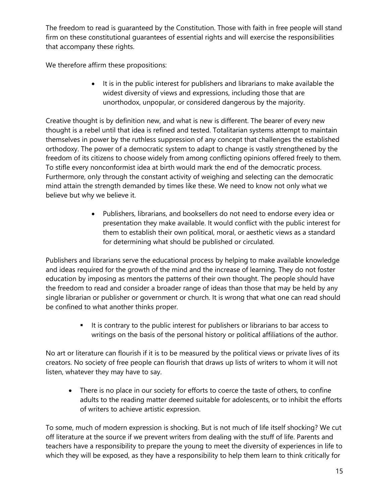The freedom to read is guaranteed by the Constitution. Those with faith in free people will stand firm on these constitutional guarantees of essential rights and will exercise the responsibilities that accompany these rights.

We therefore affirm these propositions:

• It is in the public interest for publishers and librarians to make available the widest diversity of views and expressions, including those that are unorthodox, unpopular, or considered dangerous by the majority.

Creative thought is by definition new, and what is new is different. The bearer of every new thought is a rebel until that idea is refined and tested. Totalitarian systems attempt to maintain themselves in power by the ruthless suppression of any concept that challenges the established orthodoxy. The power of a democratic system to adapt to change is vastly strengthened by the freedom of its citizens to choose widely from among conflicting opinions offered freely to them. To stifle every nonconformist idea at birth would mark the end of the democratic process. Furthermore, only through the constant activity of weighing and selecting can the democratic mind attain the strength demanded by times like these. We need to know not only what we believe but why we believe it.

> • Publishers, librarians, and booksellers do not need to endorse every idea or presentation they make available. It would conflict with the public interest for them to establish their own political, moral, or aesthetic views as a standard for determining what should be published or circulated.

Publishers and librarians serve the educational process by helping to make available knowledge and ideas required for the growth of the mind and the increase of learning. They do not foster education by imposing as mentors the patterns of their own thought. The people should have the freedom to read and consider a broader range of ideas than those that may be held by any single librarian or publisher or government or church. It is wrong that what one can read should be confined to what another thinks proper.

> ▪ It is contrary to the public interest for publishers or librarians to bar access to writings on the basis of the personal history or political affiliations of the author.

No art or literature can flourish if it is to be measured by the political views or private lives of its creators. No society of free people can flourish that draws up lists of writers to whom it will not listen, whatever they may have to say.

• There is no place in our society for efforts to coerce the taste of others, to confine adults to the reading matter deemed suitable for adolescents, or to inhibit the efforts of writers to achieve artistic expression.

To some, much of modern expression is shocking. But is not much of life itself shocking? We cut off literature at the source if we prevent writers from dealing with the stuff of life. Parents and teachers have a responsibility to prepare the young to meet the diversity of experiences in life to which they will be exposed, as they have a responsibility to help them learn to think critically for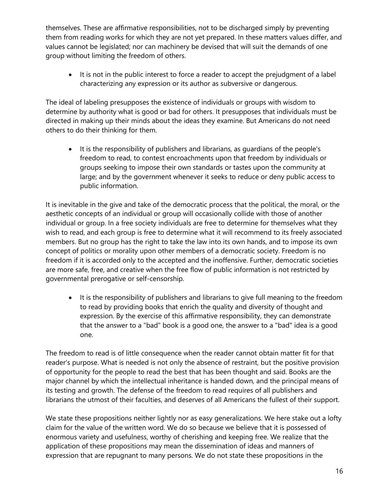themselves. These are affirmative responsibilities, not to be discharged simply by preventing them from reading works for which they are not yet prepared. In these matters values differ, and values cannot be legislated; nor can machinery be devised that will suit the demands of one group without limiting the freedom of others.

• It is not in the public interest to force a reader to accept the prejudgment of a label characterizing any expression or its author as subversive or dangerous.

The ideal of labeling presupposes the existence of individuals or groups with wisdom to determine by authority what is good or bad for others. It presupposes that individuals must be directed in making up their minds about the ideas they examine. But Americans do not need others to do their thinking for them.

• It is the responsibility of publishers and librarians, as guardians of the people's freedom to read, to contest encroachments upon that freedom by individuals or groups seeking to impose their own standards or tastes upon the community at large; and by the government whenever it seeks to reduce or deny public access to public information.

It is inevitable in the give and take of the democratic process that the political, the moral, or the aesthetic concepts of an individual or group will occasionally collide with those of another individual or group. In a free society individuals are free to determine for themselves what they wish to read, and each group is free to determine what it will recommend to its freely associated members. But no group has the right to take the law into its own hands, and to impose its own concept of politics or morality upon other members of a democratic society. Freedom is no freedom if it is accorded only to the accepted and the inoffensive. Further, democratic societies are more safe, free, and creative when the free flow of public information is not restricted by governmental prerogative or self-censorship.

• It is the responsibility of publishers and librarians to give full meaning to the freedom to read by providing books that enrich the quality and diversity of thought and expression. By the exercise of this affirmative responsibility, they can demonstrate that the answer to a "bad" book is a good one, the answer to a "bad" idea is a good one.

The freedom to read is of little consequence when the reader cannot obtain matter fit for that reader's purpose. What is needed is not only the absence of restraint, but the positive provision of opportunity for the people to read the best that has been thought and said. Books are the major channel by which the intellectual inheritance is handed down, and the principal means of its testing and growth. The defense of the freedom to read requires of all publishers and librarians the utmost of their faculties, and deserves of all Americans the fullest of their support.

We state these propositions neither lightly nor as easy generalizations. We here stake out a lofty claim for the value of the written word. We do so because we believe that it is possessed of enormous variety and usefulness, worthy of cherishing and keeping free. We realize that the application of these propositions may mean the dissemination of ideas and manners of expression that are repugnant to many persons. We do not state these propositions in the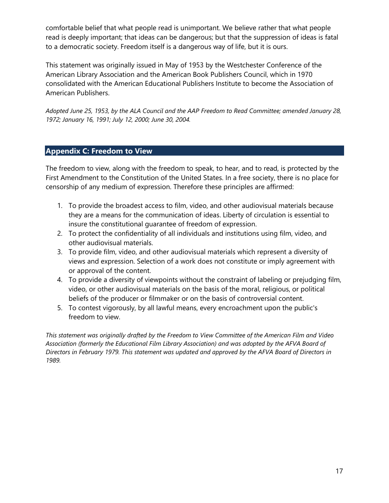comfortable belief that what people read is unimportant. We believe rather that what people read is deeply important; that ideas can be dangerous; but that the suppression of ideas is fatal to a democratic society. Freedom itself is a dangerous way of life, but it is ours.

This statement was originally issued in May of 1953 by the Westchester Conference of the American Library Association and the American Book Publishers Council, which in 1970 consolidated with the American Educational Publishers Institute to become the Association of American Publishers.

*Adopted June 25, 1953, by the ALA Council and the AAP Freedom to Read Committee; amended January 28, 1972; January 16, 1991; July 12, 2000; June 30, 2004.*

#### **Appendix C: Freedom to View**

The freedom to view, along with the freedom to speak, to hear, and to read, is protected by the First Amendment to the Constitution of the United States. In a free society, there is no place for censorship of any medium of expression. Therefore these principles are affirmed:

- 1. To provide the broadest access to film, video, and other audiovisual materials because they are a means for the communication of ideas. Liberty of circulation is essential to insure the constitutional guarantee of freedom of expression.
- 2. To protect the confidentiality of all individuals and institutions using film, video, and other audiovisual materials.
- 3. To provide film, video, and other audiovisual materials which represent a diversity of views and expression. Selection of a work does not constitute or imply agreement with or approval of the content.
- 4. To provide a diversity of viewpoints without the constraint of labeling or prejudging film, video, or other audiovisual materials on the basis of the moral, religious, or political beliefs of the producer or filmmaker or on the basis of controversial content.
- 5. To contest vigorously, by all lawful means, every encroachment upon the public's freedom to view.

*This statement was originally drafted by the Freedom to View Committee of the American Film and Video Association (formerly the Educational Film Library Association) and was adopted by the AFVA Board of Directors in February 1979. This statement was updated and approved by the AFVA Board of Directors in 1989.*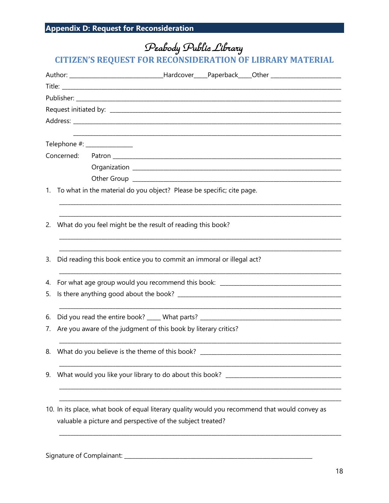# Peabody Public Library<br>CITIZEN'S REQUEST FOR RECONSIDERATION OF LIBRARY MATERIAL

|                              | Author: ___________________________________Hardcover_____Paperback____Other _______________________ |  |  |  |
|------------------------------|-----------------------------------------------------------------------------------------------------|--|--|--|
|                              |                                                                                                     |  |  |  |
|                              |                                                                                                     |  |  |  |
|                              |                                                                                                     |  |  |  |
|                              |                                                                                                     |  |  |  |
|                              |                                                                                                     |  |  |  |
| Telephone #: _______________ |                                                                                                     |  |  |  |
|                              |                                                                                                     |  |  |  |
|                              |                                                                                                     |  |  |  |
|                              |                                                                                                     |  |  |  |
|                              | 1. To what in the material do you object? Please be specific; cite page.                            |  |  |  |
|                              |                                                                                                     |  |  |  |
|                              |                                                                                                     |  |  |  |
| 2.                           | What do you feel might be the result of reading this book?                                          |  |  |  |
|                              |                                                                                                     |  |  |  |
| 3.                           | Did reading this book entice you to commit an immoral or illegal act?                               |  |  |  |
|                              |                                                                                                     |  |  |  |
| 4.                           | For what age group would you recommend this book: ______________________________                    |  |  |  |
| 5.                           |                                                                                                     |  |  |  |
|                              |                                                                                                     |  |  |  |
| 6.                           |                                                                                                     |  |  |  |
| 7.                           | Are you aware of the judgment of this book by literary critics?                                     |  |  |  |
| 8.                           | What do you believe is the theme of this book?                                                      |  |  |  |
|                              |                                                                                                     |  |  |  |
| 9.                           | What would you like your library to do about this book? ________________________                    |  |  |  |
|                              |                                                                                                     |  |  |  |
|                              | 10. In its place, what book of equal literary quality would you recommend that would convey as      |  |  |  |
|                              | valuable a picture and perspective of the subject treated?                                          |  |  |  |
|                              |                                                                                                     |  |  |  |